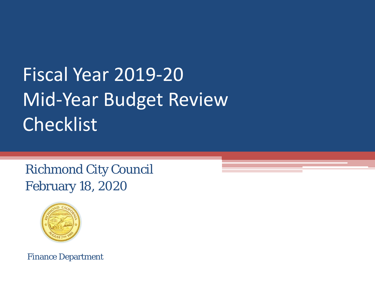# Fiscal Year 2019-20 Mid-Year Budget Review Checklist

Richmond City Council February 18, 2020



Finance Department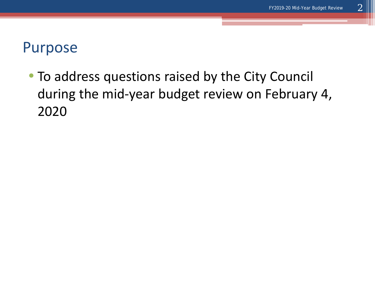#### Purpose

• To address questions raised by the City Council during the mid-year budget review on February 4, 2020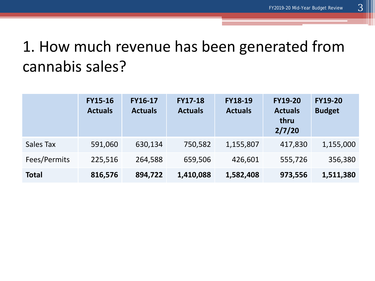#### 1. How much revenue has been generated from cannabis sales?

|              | <b>FY15-16</b><br><b>Actuals</b> | <b>FY16-17</b><br><b>Actuals</b> | <b>FY17-18</b><br><b>Actuals</b> | <b>FY18-19</b><br><b>Actuals</b> | <b>FY19-20</b><br><b>Actuals</b><br>thru<br>2/7/20 | <b>FY19-20</b><br><b>Budget</b> |
|--------------|----------------------------------|----------------------------------|----------------------------------|----------------------------------|----------------------------------------------------|---------------------------------|
| Sales Tax    | 591,060                          | 630,134                          | 750,582                          | 1,155,807                        | 417,830                                            | 1,155,000                       |
| Fees/Permits | 225,516                          | 264,588                          | 659,506                          | 426,601                          | 555,726                                            | 356,380                         |
| <b>Total</b> | 816,576                          | 894,722                          | 1,410,088                        | 1,582,408                        | 973,556                                            | 1,511,380                       |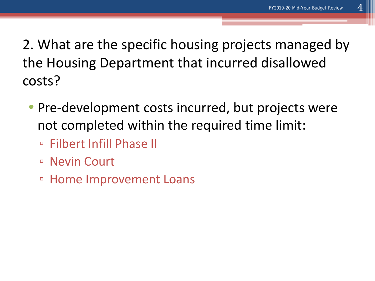2. What are the specific housing projects managed by the Housing Department that incurred disallowed costs?

- Pre-development costs incurred, but projects were not completed within the required time limit:
	- Filbert Infill Phase II
	- Nevin Court
	- Home Improvement Loans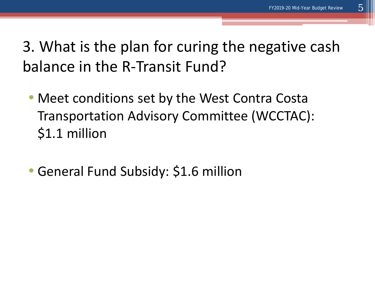3. What is the plan for curing the negative cash balance in the R-Transit Fund?

- Meet conditions set by the West Contra Costa Transportation Advisory Committee (WCCTAC): \$1.1 million
- General Fund Subsidy: \$1.6 million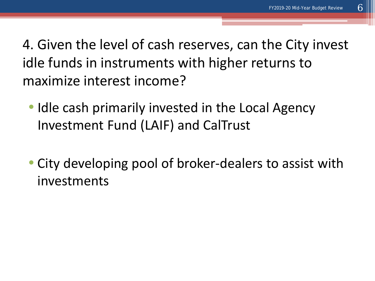4. Given the level of cash reserves, can the City invest idle funds in instruments with higher returns to maximize interest income?

- Idle cash primarily invested in the Local Agency Investment Fund (LAIF) and CalTrust
- City developing pool of broker-dealers to assist with investments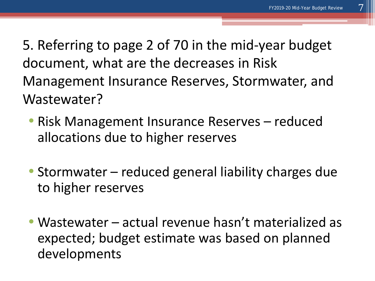5. Referring to page 2 of 70 in the mid-year budget document, what are the decreases in Risk Management Insurance Reserves, Stormwater, and Wastewater?

- Risk Management Insurance Reserves reduced allocations due to higher reserves
- Stormwater reduced general liability charges due to higher reserves
- Wastewater actual revenue hasn't materialized as expected; budget estimate was based on planned developments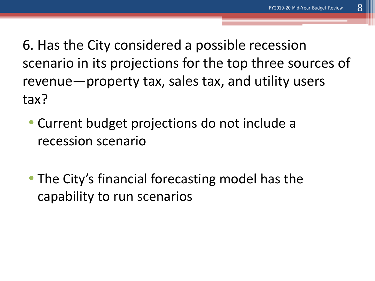6. Has the City considered a possible recession scenario in its projections for the top three sources of revenue—property tax, sales tax, and utility users tax?

- Current budget projections do not include a recession scenario
- The City's financial forecasting model has the capability to run scenarios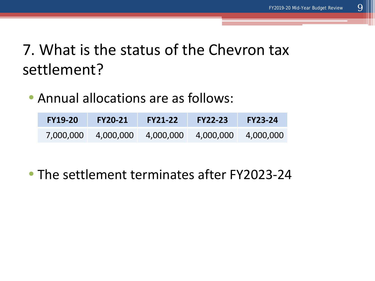#### 7. What is the status of the Chevron tax settlement?

• Annual allocations are as follows:

| <b>FY19-20</b> | <b>FY20-21</b>      | <b>FY21-22</b> | <b>FY22-23</b> | <b>FY23-24</b> |
|----------------|---------------------|----------------|----------------|----------------|
|                | 7,000,000 4,000,000 | 4,000,000      | 4,000,000      | 4,000,000      |

• The settlement terminates after FY2023-24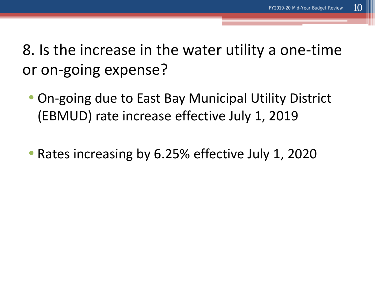8. Is the increase in the water utility a one-time or on-going expense?

- On-going due to East Bay Municipal Utility District (EBMUD) rate increase effective July 1, 2019
- Rates increasing by 6.25% effective July 1, 2020